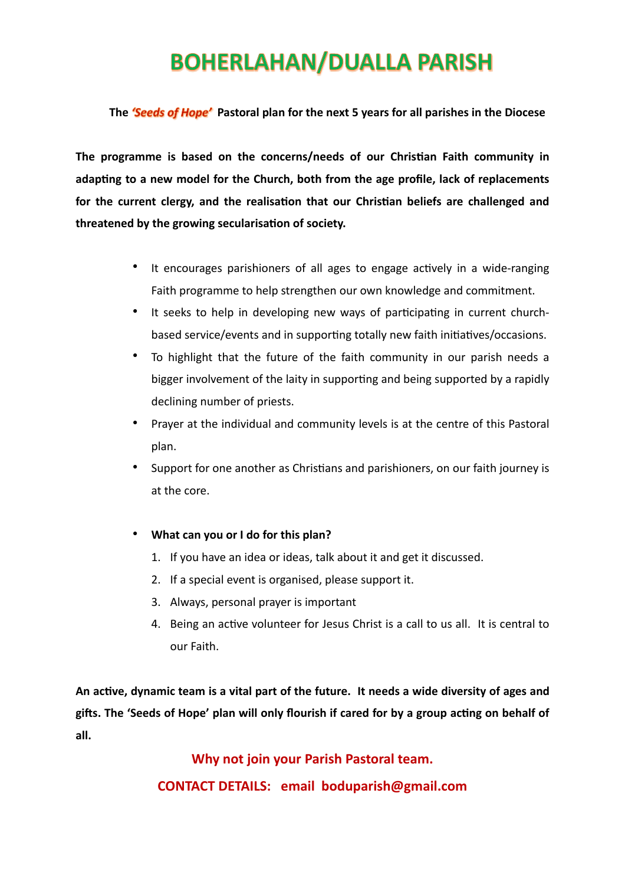# **BOHERLAHAN/DUALLA PARISH**

#### **The** *'Seeds of Hope'* **Pastoral plan for the next 5 years for all parishes in the Diocese**

**The programme is based on the concerns/needs of our Christian Faith community in adapting to a new model for the Church, both from the age profile, lack of replacements for the current clergy, and the realisation that our Christian beliefs are challenged and threatened by the growing secularisation of society.**

- It encourages parishioners of all ages to engage actively in a wide-ranging Faith programme to help strengthen our own knowledge and commitment.
- It seeks to help in developing new ways of participating in current churchbased service/events and in supporting totally new faith initiatives/occasions.
- To highlight that the future of the faith community in our parish needs a bigger involvement of the laity in supporting and being supported by a rapidly declining number of priests.
- Prayer at the individual and community levels is at the centre of this Pastoral plan.
- Support for one another as Christians and parishioners, on our faith journey is at the core.
- **What can you or I do for this plan?**
	- 1. If you have an idea or ideas, talk about it and get it discussed.
	- 2. If a special event is organised, please support it.
	- 3. Always, personal prayer is important
	- 4. Being an active volunteer for Jesus Christ is a call to us all. It is central to our Faith.

**An active, dynamic team is a vital part of the future. It needs a wide diversity of ages and gifts. The 'Seeds of Hope' plan will only flourish if cared for by a group acting on behalf of all.** 

> **Why not join your Parish Pastoral team. CONTACT DETAILS: email boduparish@gmail.com**